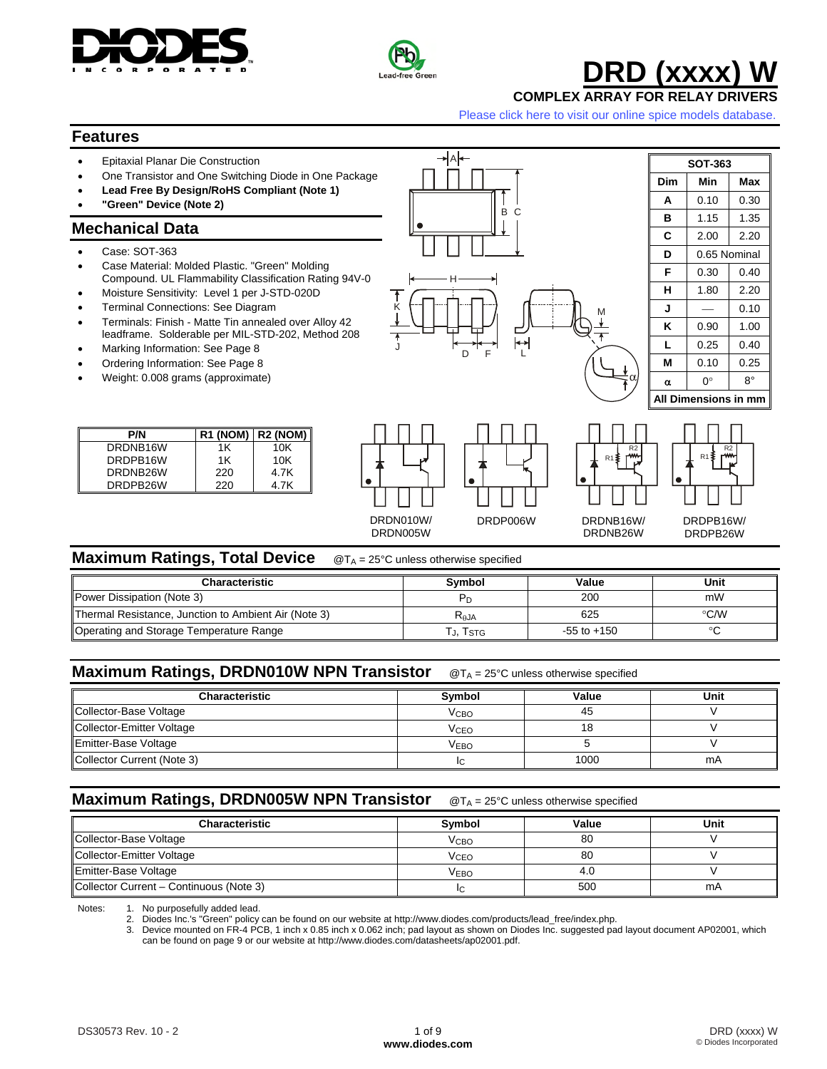



K

∗laŀ

B C

J D F L<br>J D F L

F

H

# **DRD** (xxxx

**COMPLEX ARRAY FOR RELAY DRIVERS** 

[Please click here to visit our online spice models database.](http://www.diodes.com/products/spicemodels/index.php)

M

#### **Features**

- Epitaxial Planar Die Construction
- One Transistor and One Switching Diode in One Package
- **Lead Free By Design/RoHS Compliant (Note 1)**
- **"Green" Device (Note 2)**

#### **Mechanical Data**

- Case: SOT-363
- Case Material: Molded Plastic. "Green" Molding Compound. UL Flammability Classification Rating 94V-0
- Moisture Sensitivity: Level 1 per J-STD-020D
- Terminal Connections: See Diagram
- Terminals: Finish Matte Tin annealed over Alloy 42 leadframe. Solderable per MIL-STD-202, Method 208
- Marking Information: See Page 8
- Ordering Information: See Page 8
- Weight: 0.008 grams (approximate)

| P/N      |     | $R1 (NOM)$ R2 (NOM) |
|----------|-----|---------------------|
| DRDNB16W | 1K  | 10K                 |
| DRDPB16W | 1K  | 10K                 |
| DRDNB26W | 220 | 4.7K                |
| DRDPB26W | 220 | 4.7K                |









DRDNB26W

R1 R2

#### DRDPB16W/ DRDPB26W

#### **Maximum Ratings, Total Device** @T<sub>A</sub> = 25°C unless otherwise specified

| <b>Characteristic</b>                                | <b>Symbol</b>    | Value           | Unit |
|------------------------------------------------------|------------------|-----------------|------|
| Power Dissipation (Note 3)                           |                  | 200             | mW   |
| Thermal Resistance, Junction to Ambient Air (Note 3) | K <sub>0JA</sub> | 625             | °C/W |
| Operating and Storage Temperature Range              | T., Tstg         | $-55$ to $+150$ |      |

#### **Maximum Ratings, DRDN010W NPN Transistor** @T<sub>A</sub> = 25°C unless otherwise specified

| <b>Characteristic</b>      | Symbol                  | Value | Unit |
|----------------------------|-------------------------|-------|------|
| Collector-Base Voltage     | <b>V</b> <sub>CВО</sub> | 45    |      |
| Collector-Emitter Voltage  | <b>V<sub>CEO</sub></b>  |       |      |
| Emitter-Base Voltage       | VEBO                    |       |      |
| Collector Current (Note 3) |                         | 1000  | mA   |

#### **Maximum Ratings, DRDN005W NPN Transistor** @T<sub>A</sub> = 25°C unless otherwise specified

| Characteristic                          | Symbol           | Value | Unit |
|-----------------------------------------|------------------|-------|------|
| Collector-Base Voltage                  | V <sub>CBO</sub> | 80    |      |
| Collector-Emitter Voltage               | Vceo             | 80    |      |
| Emitter-Base Voltage                    | Vево             |       |      |
| Collector Current - Continuous (Note 3) |                  | 500   | mA   |

Notes: 1. No purposefully added lead.<br>2. Diodes Inc. 's "Green" policy

2. Diodes Inc.'s "Green" policy can be found on our website at http://www.diodes.com/products/lead\_free/index.php.

3. Device mounted on FR-4 PCB, 1 inch x 0.85 inch x 0.062 inch; pad layout as shown on Diodes Inc. suggested pad layout document AP02001, which can be found on page 9 or our website at http://www.diodes.com/datasheets/ap02001.pdf.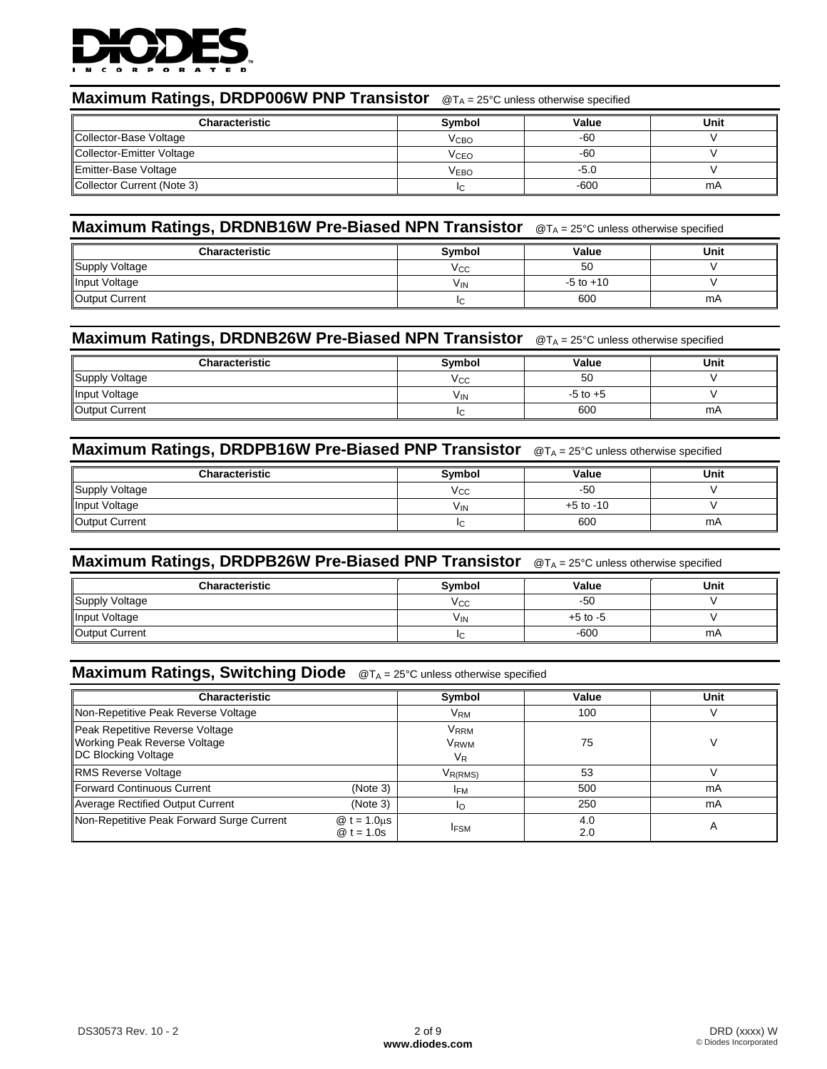

#### **Maximum Ratings, DRDP006W PNP Transistor**  $\mathcal{O}(\mathsf{T}_A = 25^\circ \mathsf{C})$  unless otherwise specified

| <b>Characteristic</b>      | Svmbol                 | Value  | Unit |
|----------------------------|------------------------|--------|------|
| Collector-Base Voltage     | V <sub>CBO</sub>       | -60    |      |
| Collector-Emitter Voltage  | <b>V<sub>CEO</sub></b> | -60    |      |
| Emitter-Base Voltage       | <b>VEBO</b>            | -5.0   |      |
| Collector Current (Note 3) | IC.                    | $-600$ | mA   |

## **Maximum Ratings, DRDNB16W Pre-Biased NPN Transistor** @TA = 25°C unless otherwise specified

| <b>Characteristic</b> | <b>Symbol</b> | Value         | Unit |
|-----------------------|---------------|---------------|------|
| Supply Voltage        | <b>VCC</b>    | 50            |      |
| Input Voltage         | VIN           | $-5$ to $+10$ |      |
| Output Current        |               | 600           | mA   |

#### **Maximum Ratings, DRDNB26W Pre-Biased NPN Transistor** @TA = 25°C unless otherwise specified

| <b>Characteristic</b> | Symbol | Value        | Unit |
|-----------------------|--------|--------------|------|
| Supply Voltage        | Vcc    | 50           |      |
| Input Voltage         | VIN    | $-5$ to $+5$ |      |
| Output Current        |        | 600          | mA   |

#### **Maximum Ratings, DRDPB16W Pre-Biased PNP Transistor** @TA = 25°C unless otherwise specified

| <b>Characteristic</b> | Symbol     | Value         | Unit |
|-----------------------|------------|---------------|------|
| Supply Voltage        | <b>VCC</b> | $-50$         |      |
| Input Voltage         | VIN        | $+5$ to $-10$ |      |
| Output Current        |            | 600           | mA   |

## **Maximum Ratings, DRDPB26W Pre-Biased PNP Transistor** @TA = 25°C unless otherwise specified

| <b>Characteristic</b> | Symbol     | Value        | Unit |
|-----------------------|------------|--------------|------|
| Supply Voltage        | Vcc        | -50          |      |
| Input Voltage         | <b>VIN</b> | $+5$ to $-5$ |      |
| Output Current        |            | $-600$       | mA   |

#### **Maximum Ratings, Switching Diode** @TA = 25°C unless otherwise specified

| <b>Characteristic</b>                                                                  |                                     | Symbol                                            | Value      | Unit |
|----------------------------------------------------------------------------------------|-------------------------------------|---------------------------------------------------|------------|------|
| Non-Repetitive Peak Reverse Voltage                                                    |                                     | <b>V<sub>RM</sub></b>                             | 100        |      |
| Peak Repetitive Reverse Voltage<br>Working Peak Reverse Voltage<br>DC Blocking Voltage |                                     | <b>V</b> <sub>RRM</sub><br><b>VRWM</b><br>$V_{R}$ | 75         |      |
| <b>RMS Reverse Voltage</b>                                                             |                                     | V <sub>R(RMS)</sub>                               | 53         |      |
| <b>IForward Continuous Current</b>                                                     | (Note 3)                            | <b>IFM</b>                                        | 500        | mA   |
| Average Rectified Output Current                                                       | (Note 3)                            | IΟ                                                | 250        | mA   |
| Non-Repetitive Peak Forward Surge Current                                              | $@t = 1.0 \text{µs}$<br>$@t = 1.0s$ | <b>IFSM</b>                                       | 4.0<br>2.0 | A    |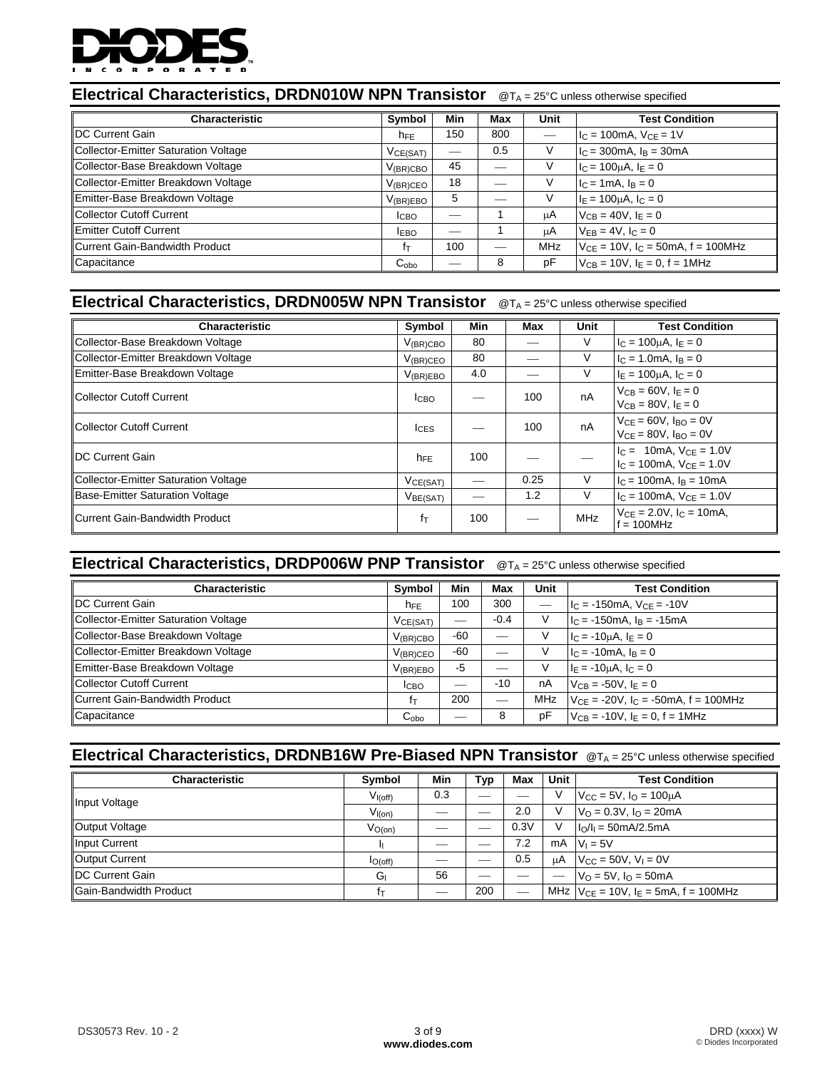

## **Electrical Characteristics, DRDN010W NPN Transistor**  $@T_A = 25°C$  unless otherwise specified

| <b>Characteristic</b>                | Symbol               | Min | Max | Unit | <b>Test Condition</b>                        |
|--------------------------------------|----------------------|-----|-----|------|----------------------------------------------|
| <b>IDC Current Gain</b>              | $h_{FE}$             | 150 | 800 |      | $I_C = 100mA$ , $V_{CE} = 1V$                |
| Collector-Emitter Saturation Voltage | VCE(SAT)             |     | 0.5 |      | $I_C = 300 \text{mA}$ , $I_B = 30 \text{mA}$ |
| Collector-Base Breakdown Voltage     | $V_{(BR)CBO}$        | 45  |     |      | $I_C = 100 \mu A$ , $I_E = 0$                |
| Collector-Emitter Breakdown Voltage  | $V_{(BR)CEO}$        | 18  |     |      | $I_C = 1 \text{ mA}$ , $I_B = 0$             |
| Emitter-Base Breakdown Voltage       | $V_{(BR)EBO}$        | 5   |     | V    | $IE = 100 \mu A$ , $IC = 0$                  |
| Collector Cutoff Current             | <b>ICBO</b>          | __  |     | μA   | $V_{CB} = 40V$ , $I_F = 0$                   |
| <b>Emitter Cutoff Current</b>        | <b>IEBO</b>          |     |     | μA   | $V_{FB} = 4V$ , $I_C = 0$                    |
| Current Gain-Bandwidth Product       | ŤΤ                   | 100 |     | MHz  | $V_{CE} = 10V$ , $I_C = 50mA$ , $f = 100MHz$ |
| Capacitance                          | $C_{\alpha b\alpha}$ | --  | 8   | рF   | $V_{CB} = 10V$ , $I_F = 0$ , $f = 1MHz$      |

## **Electrical Characteristics, DRDN005W NPN Transistor** @TA = 25°C unless otherwise specified

| <b>Characteristic</b>                          | Symbol               | Min | Max                    | Unit       | <b>Test Condition</b>                   |
|------------------------------------------------|----------------------|-----|------------------------|------------|-----------------------------------------|
| Collector-Base Breakdown Voltage               | $V_{\rm (BR)CBO}$    | 80  |                        | V          | $I_C = 100 \mu A$ , $I_E = 0$           |
| Collector-Emitter Breakdown Voltage            | $V_{(BR)CEO}$        | 80  |                        | V          | $IC = 1.0mA, IB = 0$                    |
| Emitter-Base Breakdown Voltage                 | $V_{(BR)EBO}$        | 4.0 |                        | V          | $I_F = 100 \mu A$ , $I_C = 0$           |
| Collector Cutoff Current<br>100<br><b>ICBO</b> |                      |     |                        | nA         | $V_{CB} = 60V, I_F = 0$                 |
|                                                |                      |     | $V_{CB} = 80V, IE = 0$ |            |                                         |
| Collector Cutoff Current                       | $I_{CES}$            |     | 100                    | nA         | $V_{CF} = 60V$ , $I_{BO} = 0V$          |
|                                                |                      |     |                        |            | $V_{CE} = 80V$ , $I_{BO} = 0V$          |
| <b>IDC Current Gain</b>                        | $h_{FE}$             | 100 |                        |            | $I_C = 10 \text{mA}$ , $V_{CF} = 1.0 V$ |
|                                                |                      |     |                        |            | $IC$ = 100mA, $VCF$ = 1.0V              |
| <b>Collector-Emitter Saturation Voltage</b>    | $V_{CE(SAT)}$        |     | 0.25                   | V          | $IC$ = 100mA, $IB$ = 10mA               |
| Base-Emitter Saturation Voltage                | V <sub>BE(SAT)</sub> |     | 1.2                    | V          | $IC$ = 100mA, $VCE$ = 1.0V              |
| Current Gain-Bandwidth Product                 | $f_{\text{T}}$       | 100 |                        | <b>MHz</b> | $V_{CE} = 2.0V$ , $I_C = 10mA$ ,        |
|                                                |                      |     |                        |            | $f = 100MHz$                            |

## **Electrical Characteristics, DRDP006W PNP Transistor**  $@T_A = 25°C$  unless otherwise specified

| <b>Characteristic</b>                | Symbol                      | Min   | Max    | <b>Unit</b> | <b>Test Condition</b>                      |
|--------------------------------------|-----------------------------|-------|--------|-------------|--------------------------------------------|
| <b>IDC Current Gain</b>              | $h_{FE}$                    | 100   | 300    |             | $IC$ = -150mA, $VCE$ = -10V                |
| Collector-Emitter Saturation Voltage | VCE(SAT)                    |       | $-0.4$ | V           | $I_C = -150mA$ , $I_B = -15mA$             |
| Collector-Base Breakdown Voltage     | $V_{\rm (BR)CBC}$           | -60   |        |             | $I_C = -10\mu A$ , $I_E = 0$               |
| Collector-Emitter Breakdown Voltage  | $V_{(BR)CEO}$               | $-60$ |        |             | $IC = -10mA$ , $IB = 0$                    |
| Emitter-Base Breakdown Voltage       | V <sub>(BR)EBO</sub>        | $-5$  |        |             | $IE = -10uA, IC = 0$                       |
| Collector Cutoff Current             | <b>I</b> CBO                |       | $-10$  | nA          | $V_{CB} = -50V$ , $I_F = 0$                |
| Current Gain-Bandwidth Product       | İт                          | 200   |        | MHz         | $V_{CF}$ = -20V, $I_C$ = -50mA, f = 100MHz |
| Capacitance                          | $\mathsf{C}_{\mathsf{obo}}$ |       | 8      | рF          | $V_{CB} = -10V$ , $I_E = 0$ , $f = 1MHz$   |

## **Electrical Characteristics, DRDNB16W Pre-Biased NPN Transistor** @TA = 25°C unless otherwise specified

| <b>Characteristic</b>         | Symbol               | Min | Typ | Max  | Unit | <b>Test Condition</b>                         |
|-------------------------------|----------------------|-----|-----|------|------|-----------------------------------------------|
| Input Voltage                 | V <sub>I</sub> (off) | 0.3 | __  |      |      | $V_{\rm CC} = 5V$ , $I_{\rm O} = 100 \mu A$   |
|                               | $V_{I(0n)}$          |     |     | 2.0  | v    | $V_0 = 0.3V$ , $I_0 = 20mA$                   |
| Output Voltage                | $V_{O(0n)}$          | __  |     | 0.3V |      | $I_0/I_1 = 50mA/2.5mA$                        |
| Input Current                 |                      | ___ |     | 7.2  |      | $mA$ $V_1 = 5V$                               |
| Output Current                | $I_{O(off)}$         | __  |     | 0.5  | uA   | $V_{\text{CC}} = 50V, V_{\text{I}} = 0V$      |
| <b>IDC Current Gain</b>       | G                    | 56  |     |      |      | $V_0 = 5V$ , $I_0 = 50$ mA                    |
| <b>Gain-Bandwidth Product</b> | İт                   | __  | 200 |      |      | MHz $V_{CE} = 10V$ , $I_E = 5mA$ , f = 100MHz |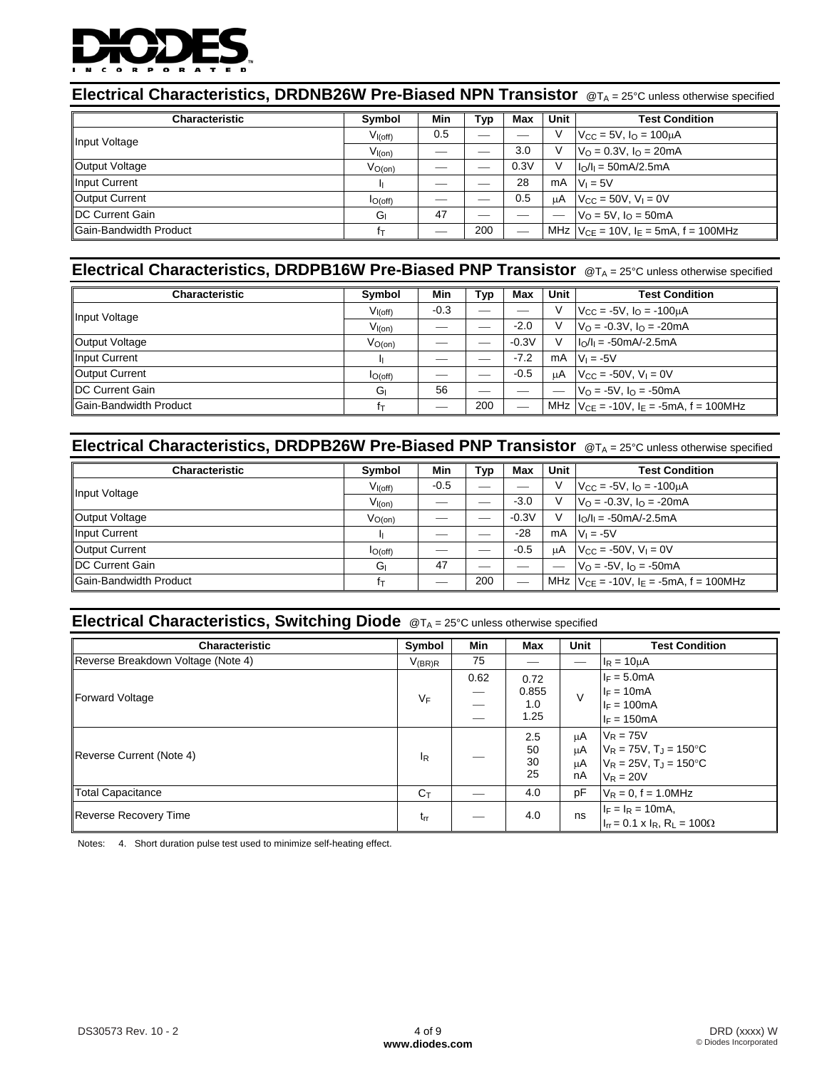

## **Electrical Characteristics, DRDNB26W Pre-Biased NPN Transistor** @TA = 25°C unless otherwise specified

| <b>Characteristic</b>   | <b>Symbol</b> | Min | Typ | Max  | Unit | <b>Test Condition</b>                             |
|-------------------------|---------------|-----|-----|------|------|---------------------------------------------------|
| Input Voltage           | $V_{I(off)}$  | 0.5 |     |      | v    | $V_{\text{CC}} = 5V$ , $I_{\text{O}} = 100 \mu A$ |
|                         | $V_{I(on)}$   |     |     | 3.0  |      | $V_0 = 0.3V$ , $I_0 = 20mA$                       |
| Output Voltage          | $V_{O(0n)}$   |     |     | 0.3V | V    | $I_0/I_1 = 50mA/2.5mA$                            |
| Input Current           |               |     |     | 28   |      | $mA$ $ V_1 = 5V$                                  |
| Output Current          | IO(off)       |     |     | 0.5  | μA   | $V_{CC} = 50V$ , $V_1 = 0V$                       |
| <b>IDC Current Gain</b> | G             | 47  |     |      |      | $V_0 = 5V$ , $I_0 = 50$ mA                        |
| Gain-Bandwidth Product  | İт            |     | 200 |      |      | MHz $V_{CE} = 10V$ , $I_E = 5mA$ , f = 100MHz     |

## **Electrical Characteristics, DRDPB16W Pre-Biased PNP Transistor** @TA = 25°C unless otherwise specified

| <b>Characteristic</b>   | Symbol       | Min    | Typ | Max     | <b>Unit</b> | <b>Test Condition</b>                                 |
|-------------------------|--------------|--------|-----|---------|-------------|-------------------------------------------------------|
| Input Voltage           | $V_{I(off)}$ | $-0.3$ |     |         |             | $V_{\text{CC}} = -5V$ , $I_{\text{O}} = -100 \mu A$   |
|                         | $V_{I(0n)}$  |        |     | $-2.0$  |             | $V_0 = -0.3V$ , $I_0 = -20mA$                         |
| Output Voltage          | $V_{O(0n)}$  |        |     | $-0.3V$ |             | $I_0/I_1 = -50mA - 2.5mA$                             |
| Input Current           |              |        |     | $-7.2$  |             | $mA$ $V_1 = -5V$                                      |
| Output Current          | $I_{O(off)}$ |        |     | $-0.5$  |             | $\mu$ A   V <sub>CC</sub> = -50V, V <sub>I</sub> = 0V |
| <b>IDC Current Gain</b> | Gı           | 56     |     |         |             | $V_0 = -5V$ , $I_0 = -50$ mA                          |
| Gain-Bandwidth Product  | fτ           | __     | 200 |         |             | MHz $V_{CE} = -10V$ , $I_E = -5mA$ , $f = 100MHz$     |

#### **Electrical Characteristics, DRDPB26W Pre-Biased PNP Transistor**  $@T_A = 25°C$  unless otherwise specified

| <b>Characteristic</b>         | Symbol               | Min    | Typ | Max     | Unit | <b>Test Condition</b>                                |
|-------------------------------|----------------------|--------|-----|---------|------|------------------------------------------------------|
| Input Voltage                 | V <sub>I</sub> (off) | $-0.5$ | --- |         |      | $V_{\rm CC} = -5V$ , $I_{\rm O} = -100 \mu A$        |
|                               | $V_{I(0n)}$          | __     |     | $-3.0$  |      | $V_0 = -0.3V$ , $I_0 = -20mA$                        |
| Output Voltage                | $V_{O(0n)}$          |        |     | $-0.3V$ |      | $I_0/I_1 = -50mA - 2.5mA$                            |
| Input Current                 |                      | --     |     | $-28$   |      | $mA$ $V_1 = -5V$                                     |
| Output Current                | $I_{O(off)}$         |        |     | $-0.5$  |      | $\mu$ A $V_{\text{CC}} = -50V$ , $V_{\text{I}} = 0V$ |
| <b>IDC Current Gain</b>       | G                    | 47     | __  | —       |      | $V_0 = -5V$ , $I_0 = -50mA$                          |
| <b>Gain-Bandwidth Product</b> | Ťт                   |        | 200 |         |      | MHz $V_{CE} = -10V$ , $I_E = -5mA$ , f = 100MHz      |

## **Electrical Characteristics, Switching Diode** @TA = 25°C unless otherwise specified

| <b>Characteristic</b>              | Symbol           | Min  | Max                          | <b>Unit</b>          | <b>Test Condition</b>                                                                                  |
|------------------------------------|------------------|------|------------------------------|----------------------|--------------------------------------------------------------------------------------------------------|
| Reverse Breakdown Voltage (Note 4) | $V_{(BR)R}$      | 75   |                              |                      | $I_R = 10 \mu A$                                                                                       |
| Forward Voltage                    | VF               | 0.62 | 0.72<br>0.855<br>1.0<br>1.25 | $\vee$               | $I_F = 5.0mA$<br>$I_F = 10mA$<br>$I_F = 100mA$<br>$I_F = 150mA$                                        |
| Reverse Current (Note 4)           | ΙR               |      | 2.5<br>50<br>30<br>25        | μA<br>μA<br>μA<br>nA | $V_R = 75V$<br>$V_R = 75V$ , $T_J = 150^{\circ}C$<br>$V_R = 25V$ , $T_J = 150^{\circ}C$<br>$V_R = 20V$ |
| <b>Total Capacitance</b>           | $C_{\mathsf{T}}$ |      | 4.0                          | pF                   | $V_R = 0$ , f = 1.0MHz                                                                                 |
| Reverse Recovery Time              | $t_{rr}$         |      | 4.0                          | ns                   | $I_F = I_R = 10mA,$<br>$I_{rr} = 0.1 \times I_R$ , R <sub>L</sub> = 100 $\Omega$                       |

Notes: 4. Short duration pulse test used to minimize self-heating effect.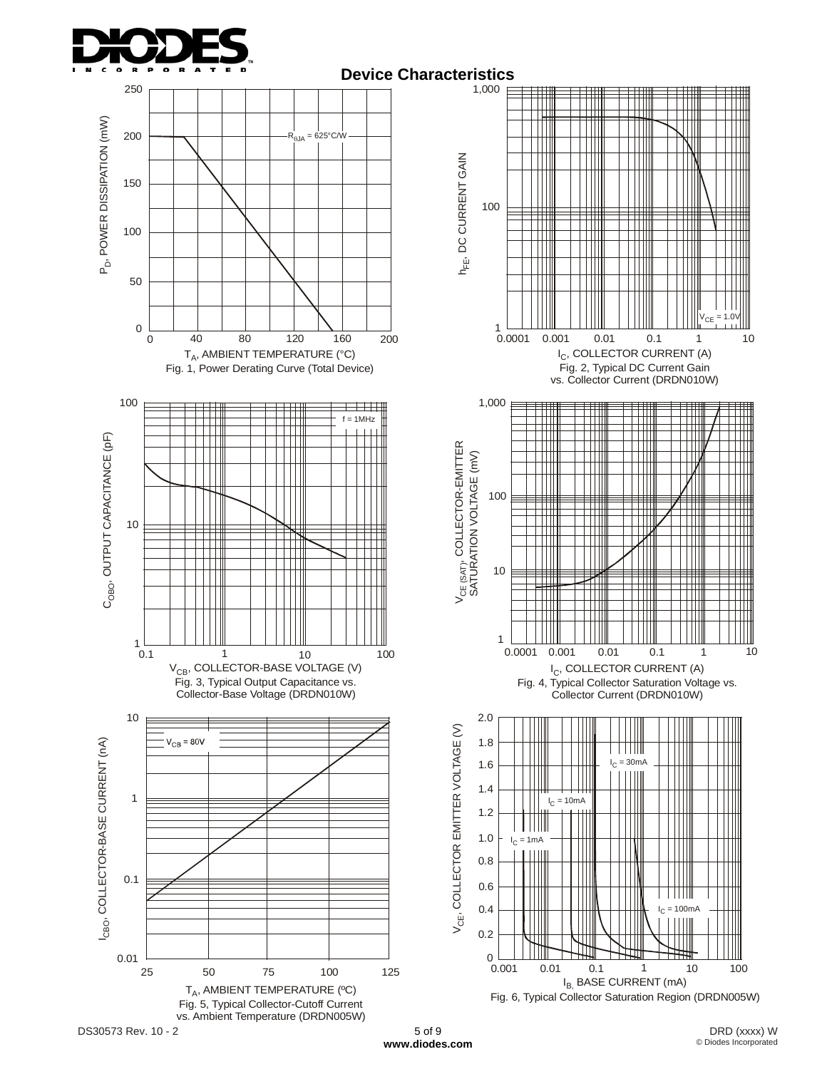





Fig. 4, Typical Collector Saturation Voltage vs. Collector Current (DRDN010W)



## **Device Characteristics**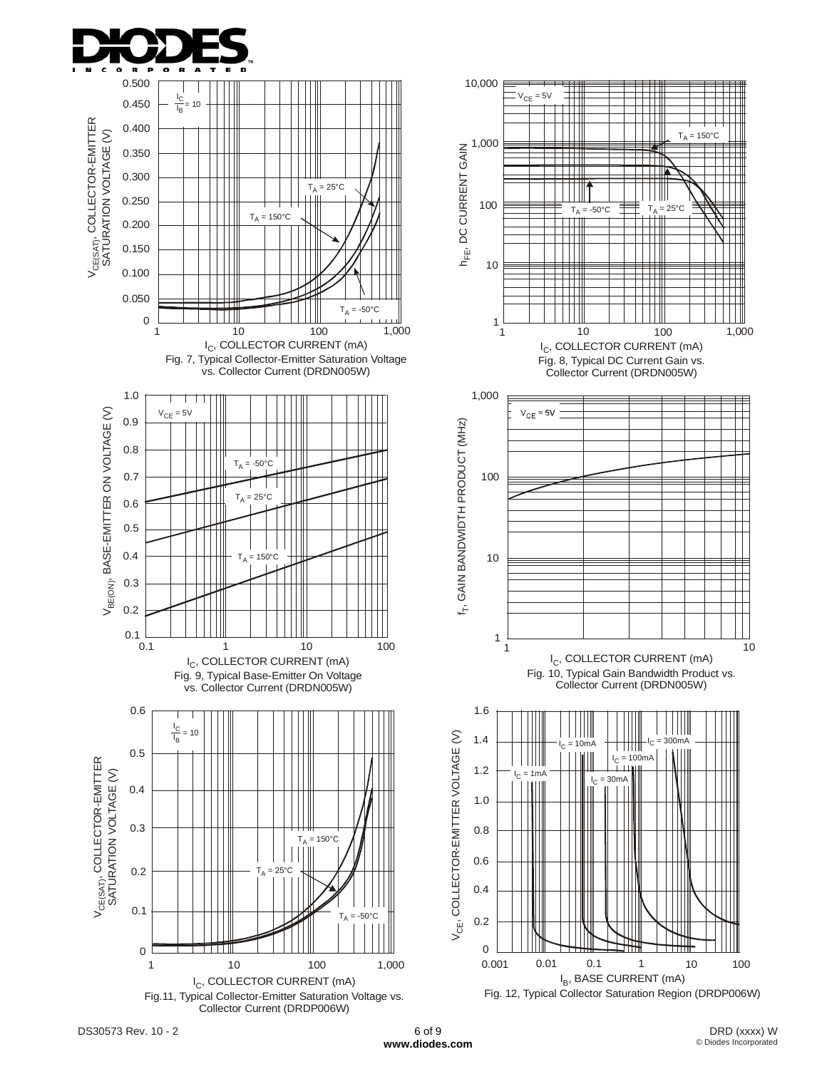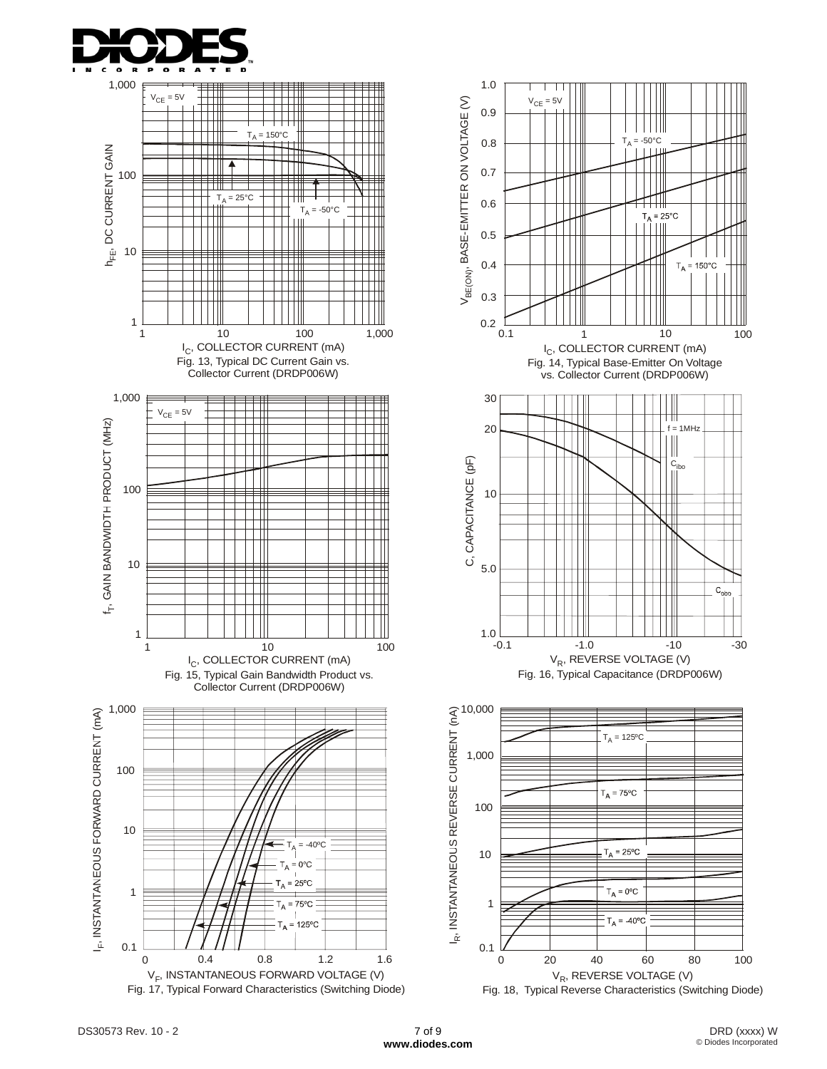



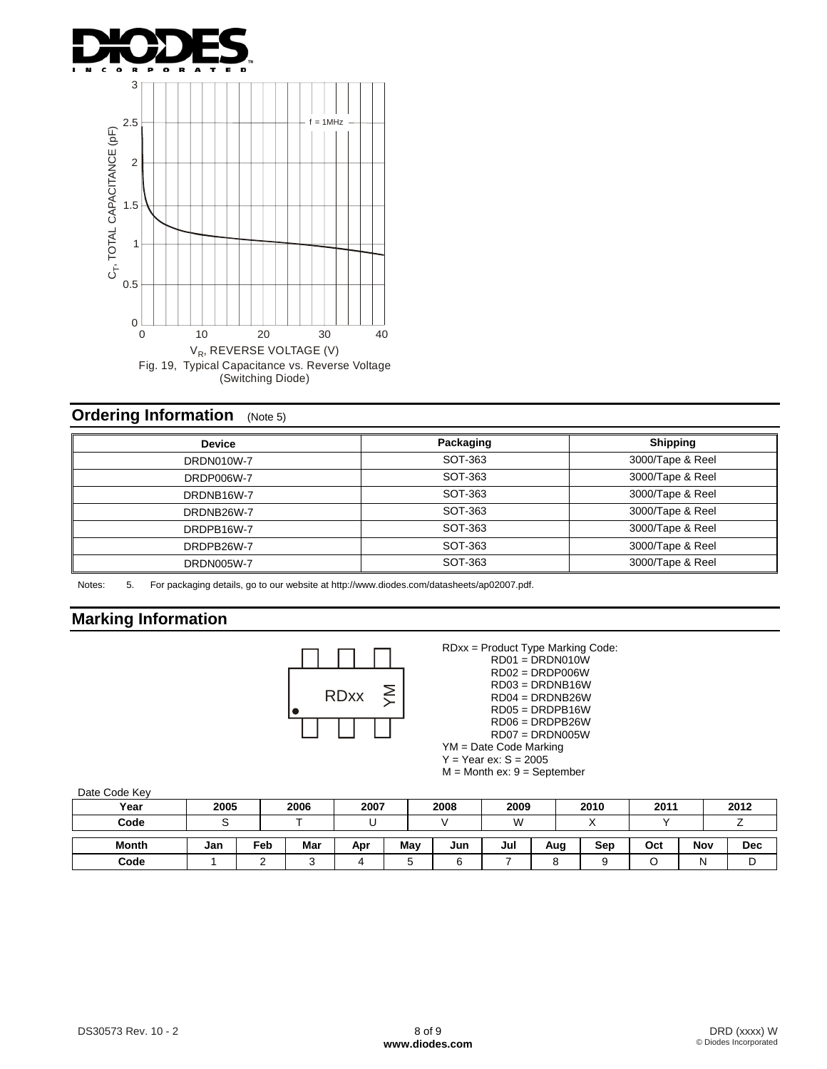



## **Ordering Information** (Note 5)

| <b>Device</b>     | Packaging | <b>Shipping</b>  |
|-------------------|-----------|------------------|
| DRDN010W-7        | SOT-363   | 3000/Tape & Reel |
| <b>DRDP006W-7</b> | SOT-363   | 3000/Tape & Reel |
| DRDNB16W-7        | SOT-363   | 3000/Tape & Reel |
| DRDNB26W-7        | SOT-363   | 3000/Tape & Reel |
| DRDPB16W-7        | SOT-363   | 3000/Tape & Reel |
| DRDPB26W-7        | SOT-363   | 3000/Tape & Reel |
| <b>DRDN005W-7</b> | SOT-363   | 3000/Tape & Reel |

Notes: 5. For packaging details, go to our website at http://www.diodes.com/datasheets/ap02007.pdf.

#### **Marking Information**



RDxx = Product Type Marking Code:  $RDO1 = DRDNO10W$  RD02 = DRDP006W RD03 = DRDNB16W RD04 = DRDNB26W RD05 = DRDPB16W RD06 = DRDPB26W RD07 = DRDN005W YM = Date Code Marking  $Y = Year ex: S = 2005$ 

 $M =$  Month ex:  $9 =$  September

| Year         | 2005 |     | 2006 | 2007 |     | 2008 | 2009 |     | 2010 | 2011 |     | 2012 |
|--------------|------|-----|------|------|-----|------|------|-----|------|------|-----|------|
| Code         |      |     |      |      |     |      | W    |     |      |      |     |      |
| <b>Month</b> | Jan  | Feb | Mar  | Apr  | May | Jun  | Jul  | Aug | Sep  | Oct  | Nov | Dec  |
| Code         |      | ∽   |      |      |     |      |      |     |      |      | N   |      |

Date Code Key